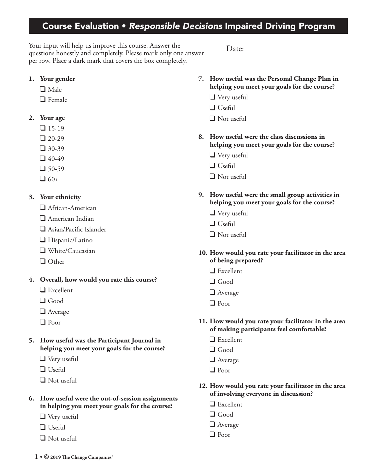## Course Evaluation • *Responsible Decisions* Impaired Driving Program

Your input will help us improve this course. Answer the questions honestly and completely. Please mark only one answer per row. Place a dark mark that covers the box completely.

**1. Your gender**

- $\Box$  Male
- $\Box$  Female

## **2. Your age**

- $\Box$  15-19
- $\Box$  20-29
- $\Box$  30-39
- $-40-49$
- $-$  50-59
- $\Box$  60+

## **3. Your ethnicity**

- African-American
- American Indian
- Asian/Pacific Islander
- Hispanic/Latino
- White/Caucasian
- $\Box$  Other
- **4. Overall, how would you rate this course?**
	- □ Excellent
	- **d** Good
	- **Average**
	- Poor
- **5. How useful was the Participant Journal in helping you meet your goals for the course?**
	- Very useful
	- **Useful**
	- Not useful
- **6. How useful were the out-of-session assignments in helping you meet your goals for the course?**
	- **V**ery useful
	- □ Useful
	- **Not useful**
- **7. How useful was the Personal Change Plan in helping you meet your goals for the course?**
	- Very useful

 $Date:$   $\_\_$ 

- $\Box$  Useful
- Not useful
- **8. How useful were the class discussions in helping you meet your goals for the course?**
	- Very useful
	- $\Box$  Useful
	- Not useful
- **9. How useful were the small group activities in helping you meet your goals for the course?**
	- Very useful
	- $\Box$  Useful
	- Not useful
- **10. How would you rate your facilitator in the area of being prepared?**
	- $\Box$  Excellent
	- Good
	- **Average**
	- Poor
- **11. How would you rate your facilitator in the area of making participants feel comfortable?**
	- □ Excellent
	- Good
	- **Q** Average
	- Poor
- **12. How would you rate your facilitator in the area of involving everyone in discussion?**
	- **Excellent**
	- Good
	- **Q** Average
	- Poor